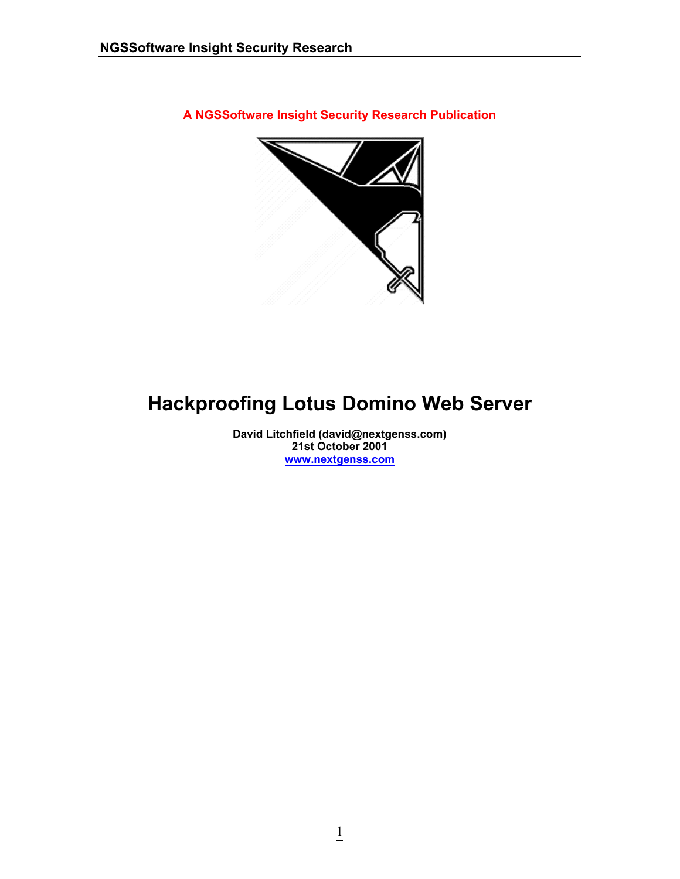**A NGSSoftware Insight Security Research Publication** 



# **Hackproofing Lotus Domino Web Server**

**David Litchfield (david@nextgenss.com) 21st October 2001 [www.nextgenss.com](http://www.nextgenss.com/)**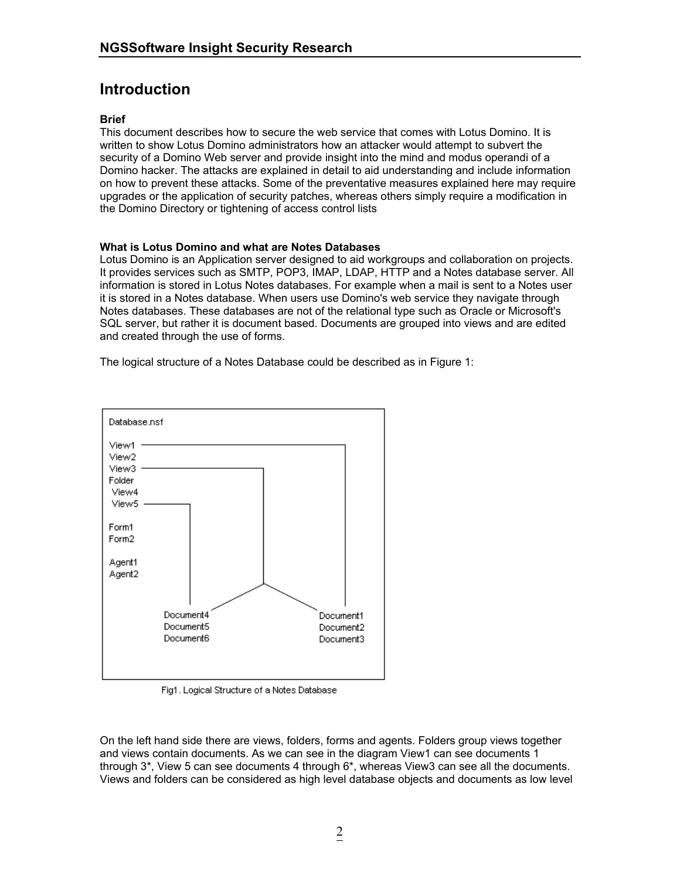## **Introduction**

#### **Brief**

This document describes how to secure the web service that comes with Lotus Domino. It is written to show Lotus Domino administrators how an attacker would attempt to subvert the security of a Domino Web server and provide insight into the mind and modus operandi of a Domino hacker. The attacks are explained in detail to aid understanding and include information on how to prevent these attacks. Some of the preventative measures explained here may require upgrades or the application of security patches, whereas others simply require a modification in the Domino Directory or tightening of access control lists

#### **What is Lotus Domino and what are Notes Databases**

Lotus Domino is an Application server designed to aid workgroups and collaboration on projects. It provides services such as SMTP, POP3, IMAP, LDAP, HTTP and a Notes database server. All information is stored in Lotus Notes databases. For example when a mail is sent to a Notes user it is stored in a Notes database. When users use Domino's web service they navigate through Notes databases. These databases are not of the relational type such as Oracle or Microsoft's SQL server, but rather it is document based. Documents are grouped into views and are edited and created through the use of forms.

The logical structure of a Notes Database could be described as in Figure 1:



Fig1. Logical Structure of a Notes Database

On the left hand side there are views, folders, forms and agents. Folders group views together and views contain documents. As we can see in the diagram View1 can see documents 1 through 3\*, View 5 can see documents 4 through 6\*, whereas View3 can see all the documents. Views and folders can be considered as high level database objects and documents as low level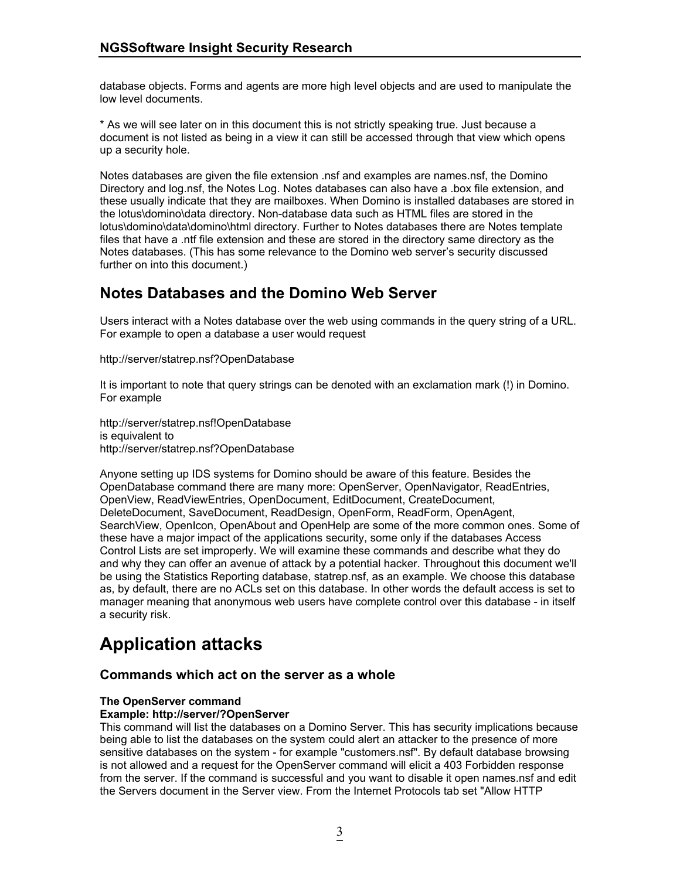database objects. Forms and agents are more high level objects and are used to manipulate the low level documents.

\* As we will see later on in this document this is not strictly speaking true. Just because a document is not listed as being in a view it can still be accessed through that view which opens up a security hole.

Notes databases are given the file extension .nsf and examples are names.nsf, the Domino Directory and log.nsf, the Notes Log. Notes databases can also have a .box file extension, and these usually indicate that they are mailboxes. When Domino is installed databases are stored in the lotus\domino\data directory. Non-database data such as HTML files are stored in the lotus\domino\data\domino\html directory. Further to Notes databases there are Notes template files that have a .ntf file extension and these are stored in the directory same directory as the Notes databases. (This has some relevance to the Domino web server's security discussed further on into this document.)

## **Notes Databases and the Domino Web Server**

Users interact with a Notes database over the web using commands in the query string of a URL. For example to open a database a user would request

http://server/statrep.nsf?OpenDatabase

It is important to note that query strings can be denoted with an exclamation mark (!) in Domino. For example

http://server/statrep.nsf!OpenDatabase is equivalent to http://server/statrep.nsf?OpenDatabase

Anyone setting up IDS systems for Domino should be aware of this feature. Besides the OpenDatabase command there are many more: OpenServer, OpenNavigator, ReadEntries, OpenView, ReadViewEntries, OpenDocument, EditDocument, CreateDocument, DeleteDocument, SaveDocument, ReadDesign, OpenForm, ReadForm, OpenAgent, SearchView, OpenIcon, OpenAbout and OpenHelp are some of the more common ones. Some of these have a major impact of the applications security, some only if the databases Access Control Lists are set improperly. We will examine these commands and describe what they do and why they can offer an avenue of attack by a potential hacker. Throughout this document we'll be using the Statistics Reporting database, statrep.nsf, as an example. We choose this database as, by default, there are no ACLs set on this database. In other words the default access is set to manager meaning that anonymous web users have complete control over this database - in itself a security risk.

# **Application attacks**

## **Commands which act on the server as a whole**

## **The OpenServer command**

#### **Example: http://server/?OpenServer**

This command will list the databases on a Domino Server. This has security implications because being able to list the databases on the system could alert an attacker to the presence of more sensitive databases on the system - for example "customers.nsf". By default database browsing is not allowed and a request for the OpenServer command will elicit a 403 Forbidden response from the server. If the command is successful and you want to disable it open names.nsf and edit the Servers document in the Server view. From the Internet Protocols tab set "Allow HTTP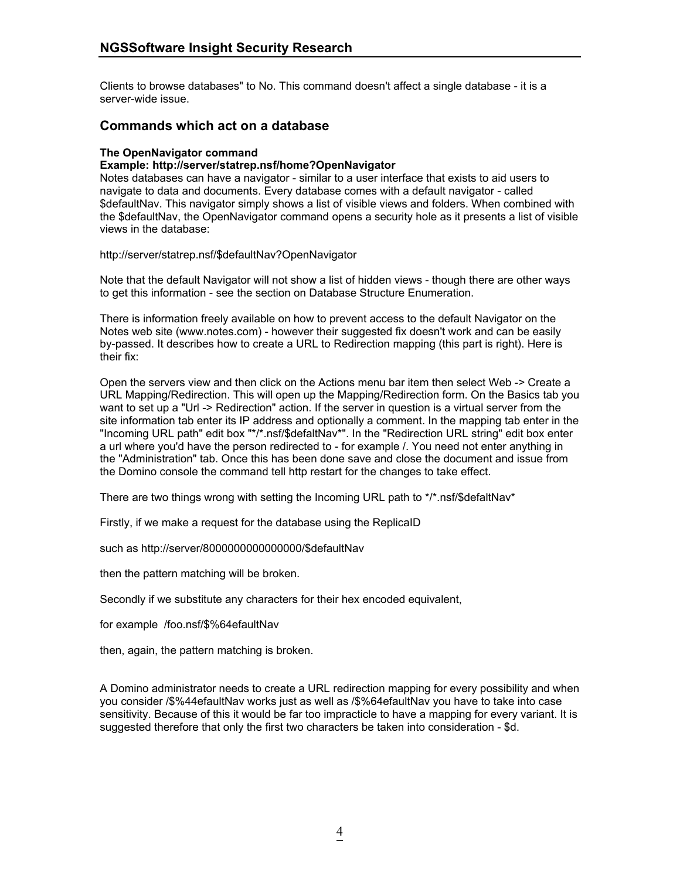Clients to browse databases" to No. This command doesn't affect a single database - it is a server-wide issue.

### **Commands which act on a database**

#### **The OpenNavigator command**

#### **Example: http://server/statrep.nsf/home?OpenNavigator**

Notes databases can have a navigator - similar to a user interface that exists to aid users to navigate to data and documents. Every database comes with a default navigator - called \$defaultNav. This navigator simply shows a list of visible views and folders. When combined with the \$defaultNav, the OpenNavigator command opens a security hole as it presents a list of visible views in the database:

http://server/statrep.nsf/\$defaultNav?OpenNavigator

Note that the default Navigator will not show a list of hidden views - though there are other ways to get this information - see the section on Database Structure Enumeration.

There is information freely available on how to prevent access to the default Navigator on the Notes web site (www.notes.com) - however their suggested fix doesn't work and can be easily by-passed. It describes how to create a URL to Redirection mapping (this part is right). Here is their fix:

Open the servers view and then click on the Actions menu bar item then select Web -> Create a URL Mapping/Redirection. This will open up the Mapping/Redirection form. On the Basics tab you want to set up a "Url -> Redirection" action. If the server in question is a virtual server from the site information tab enter its IP address and optionally a comment. In the mapping tab enter in the "Incoming URL path" edit box "\*/\*.nsf/\$defaltNav\*". In the "Redirection URL string" edit box enter a url where you'd have the person redirected to - for example /. You need not enter anything in the "Administration" tab. Once this has been done save and close the document and issue from the Domino console the command tell http restart for the changes to take effect.

There are two things wrong with setting the Incoming URL path to  $*$ /\*.nsf/\$defaltNav\*

Firstly, if we make a request for the database using the ReplicaID

such as http://server/8000000000000000/\$defaultNav

then the pattern matching will be broken.

Secondly if we substitute any characters for their hex encoded equivalent,

for example /foo.nsf/\$%64efaultNav

then, again, the pattern matching is broken.

A Domino administrator needs to create a URL redirection mapping for every possibility and when you consider /\$%44efaultNav works just as well as /\$%64efaultNav you have to take into case sensitivity. Because of this it would be far too impracticle to have a mapping for every variant. It is suggested therefore that only the first two characters be taken into consideration - \$d.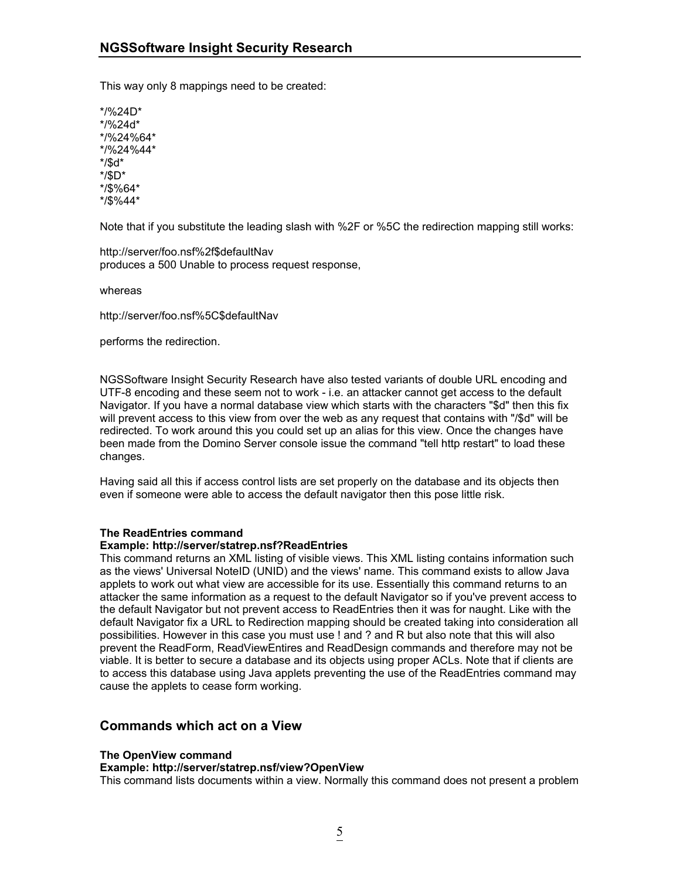This way only 8 mappings need to be created:

\*/%24D\* \*/%24d\* \*/%24%64\* \*/%24%44\* \*/\$d\* \*/\$D\* \*/\$%64\* \*/\$%44\*

Note that if you substitute the leading slash with %2F or %5C the redirection mapping still works:

http://server/foo.nsf%2f\$defaultNav produces a 500 Unable to process request response,

whereas

http://server/foo.nsf%5C\$defaultNav

performs the redirection.

NGSSoftware Insight Security Research have also tested variants of double URL encoding and UTF-8 encoding and these seem not to work - i.e. an attacker cannot get access to the default Navigator. If you have a normal database view which starts with the characters "\$d" then this fix will prevent access to this view from over the web as any request that contains with "/\$d" will be redirected. To work around this you could set up an alias for this view. Once the changes have been made from the Domino Server console issue the command "tell http restart" to load these changes.

Having said all this if access control lists are set properly on the database and its objects then even if someone were able to access the default navigator then this pose little risk.

#### **The ReadEntries command**

#### **Example: http://server/statrep.nsf?ReadEntries**

This command returns an XML listing of visible views. This XML listing contains information such as the views' Universal NoteID (UNID) and the views' name. This command exists to allow Java applets to work out what view are accessible for its use. Essentially this command returns to an attacker the same information as a request to the default Navigator so if you've prevent access to the default Navigator but not prevent access to ReadEntries then it was for naught. Like with the default Navigator fix a URL to Redirection mapping should be created taking into consideration all possibilities. However in this case you must use ! and ? and R but also note that this will also prevent the ReadForm, ReadViewEntires and ReadDesign commands and therefore may not be viable. It is better to secure a database and its objects using proper ACLs. Note that if clients are to access this database using Java applets preventing the use of the ReadEntries command may cause the applets to cease form working.

#### **Commands which act on a View**

#### **The OpenView command**

**Example: http://server/statrep.nsf/view?OpenView**

This command lists documents within a view. Normally this command does not present a problem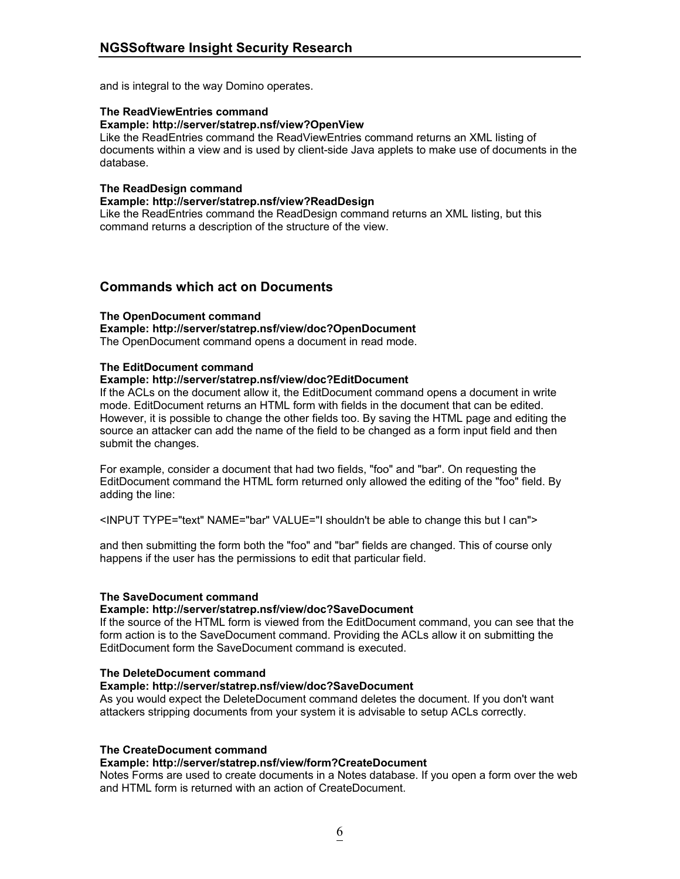and is integral to the way Domino operates.

#### **The ReadViewEntries command**

#### **Example: http://server/statrep.nsf/view?OpenView**

Like the ReadEntries command the ReadViewEntries command returns an XML listing of documents within a view and is used by client-side Java applets to make use of documents in the database.

#### **The ReadDesign command**

#### **Example: http://server/statrep.nsf/view?ReadDesign**

Like the ReadEntries command the ReadDesign command returns an XML listing, but this command returns a description of the structure of the view.

## **Commands which act on Documents**

#### **The OpenDocument command**

#### **Example: http://server/statrep.nsf/view/doc?OpenDocument**

The OpenDocument command opens a document in read mode.

#### **The EditDocument command**

#### **Example: http://server/statrep.nsf/view/doc?EditDocument**

If the ACLs on the document allow it, the EditDocument command opens a document in write mode. EditDocument returns an HTML form with fields in the document that can be edited. However, it is possible to change the other fields too. By saving the HTML page and editing the source an attacker can add the name of the field to be changed as a form input field and then submit the changes.

For example, consider a document that had two fields, "foo" and "bar". On requesting the EditDocument command the HTML form returned only allowed the editing of the "foo" field. By adding the line:

<INPUT TYPE="text" NAME="bar" VALUE="I shouldn't be able to change this but I can">

and then submitting the form both the "foo" and "bar" fields are changed. This of course only happens if the user has the permissions to edit that particular field.

#### **The SaveDocument command**

#### **Example: http://server/statrep.nsf/view/doc?SaveDocument**

If the source of the HTML form is viewed from the EditDocument command, you can see that the form action is to the SaveDocument command. Providing the ACLs allow it on submitting the EditDocument form the SaveDocument command is executed.

#### **The DeleteDocument command**

#### **Example: http://server/statrep.nsf/view/doc?SaveDocument**

As you would expect the DeleteDocument command deletes the document. If you don't want attackers stripping documents from your system it is advisable to setup ACLs correctly.

#### **The CreateDocument command**

#### **Example: http://server/statrep.nsf/view/form?CreateDocument**

Notes Forms are used to create documents in a Notes database. If you open a form over the web and HTML form is returned with an action of CreateDocument.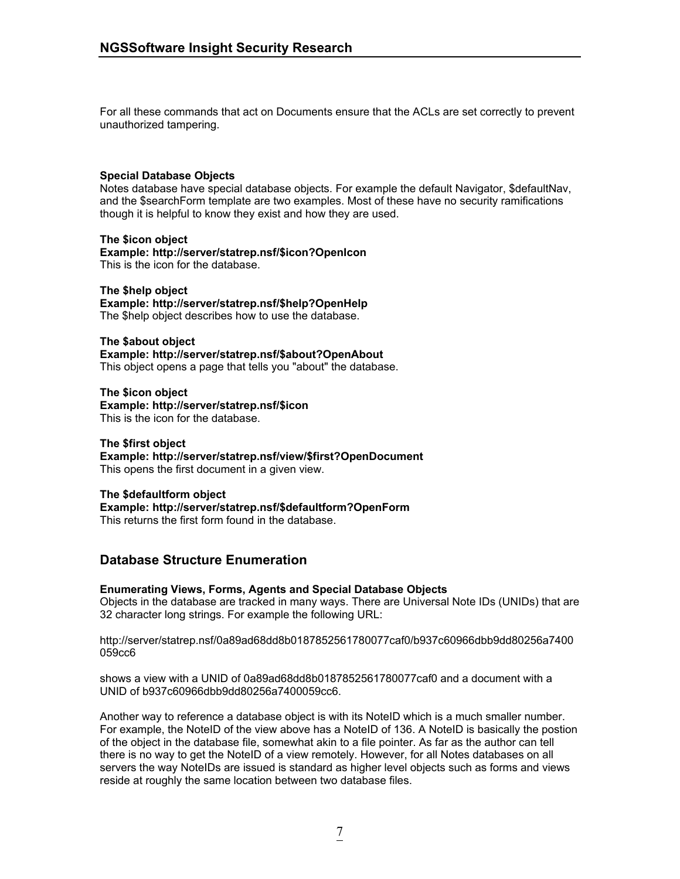For all these commands that act on Documents ensure that the ACLs are set correctly to prevent unauthorized tampering.

#### **Special Database Objects**

Notes database have special database objects. For example the default Navigator, \$defaultNav, and the \$searchForm template are two examples. Most of these have no security ramifications though it is helpful to know they exist and how they are used.

**The \$icon object Example: http://server/statrep.nsf/\$icon?OpenIcon**  This is the icon for the database.

**The \$help object Example: http://server/statrep.nsf/\$help?OpenHelp**  The \$help object describes how to use the database.

**The \$about object Example: http://server/statrep.nsf/\$about?OpenAbout**  This object opens a page that tells you "about" the database.

**The \$icon object Example: http://server/statrep.nsf/\$icon**  This is the icon for the database.

**The \$first object Example: http://server/statrep.nsf/view/\$first?OpenDocument**  This opens the first document in a given view.

#### **The \$defaultform object**

**Example: http://server/statrep.nsf/\$defaultform?OpenForm**  This returns the first form found in the database.

## **Database Structure Enumeration**

#### **Enumerating Views, Forms, Agents and Special Database Objects**

Objects in the database are tracked in many ways. There are Universal Note IDs (UNIDs) that are 32 character long strings. For example the following URL:

http://server/statrep.nsf/0a89ad68dd8b0187852561780077caf0/b937c60966dbb9dd80256a7400 059cc6

shows a view with a UNID of 0a89ad68dd8b0187852561780077caf0 and a document with a UNID of b937c60966dbb9dd80256a7400059cc6.

Another way to reference a database object is with its NoteID which is a much smaller number. For example, the NoteID of the view above has a NoteID of 136. A NoteID is basically the postion of the object in the database file, somewhat akin to a file pointer. As far as the author can tell there is no way to get the NoteID of a view remotely. However, for all Notes databases on all servers the way NoteIDs are issued is standard as higher level objects such as forms and views reside at roughly the same location between two database files.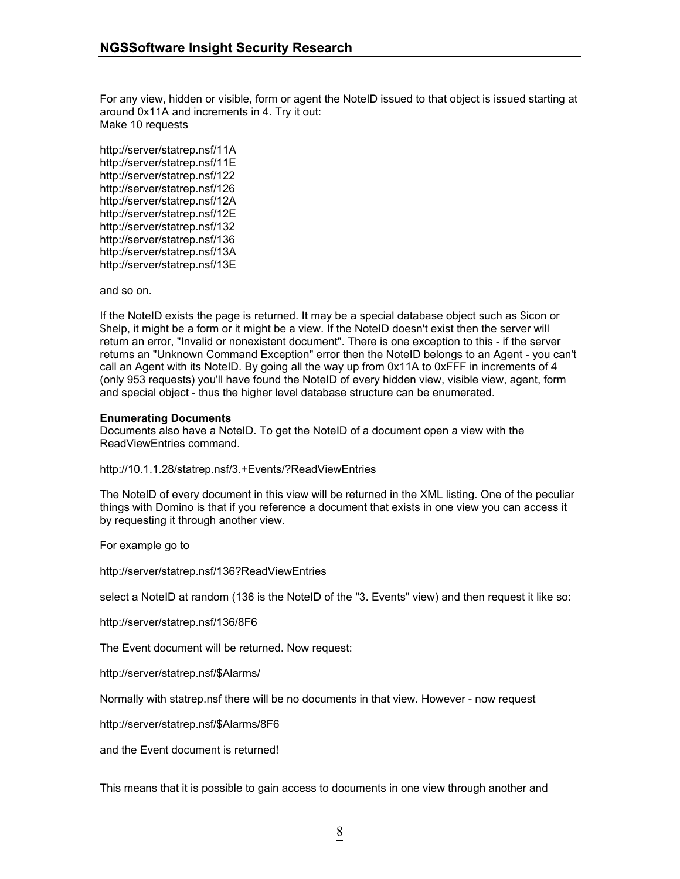For any view, hidden or visible, form or agent the NoteID issued to that object is issued starting at around 0x11A and increments in 4. Try it out: Make 10 requests

http://server/statrep.nsf/11A http://server/statrep.nsf/11E http://server/statrep.nsf/122 http://server/statrep.nsf/126 http://server/statrep.nsf/12A http://server/statrep.nsf/12E http://server/statrep.nsf/132 http://server/statrep.nsf/136 http://server/statrep.nsf/13A http://server/statrep.nsf/13E

and so on.

If the NoteID exists the page is returned. It may be a special database object such as \$icon or \$help, it might be a form or it might be a view. If the NoteID doesn't exist then the server will return an error, "Invalid or nonexistent document". There is one exception to this - if the server returns an "Unknown Command Exception" error then the NoteID belongs to an Agent - you can't call an Agent with its NoteID. By going all the way up from 0x11A to 0xFFF in increments of 4 (only 953 requests) you'll have found the NoteID of every hidden view, visible view, agent, form and special object - thus the higher level database structure can be enumerated.

#### **Enumerating Documents**

Documents also have a NoteID. To get the NoteID of a document open a view with the ReadViewEntries command.

http://10.1.1.28/statrep.nsf/3.+Events/?ReadViewEntries

The NoteID of every document in this view will be returned in the XML listing. One of the peculiar things with Domino is that if you reference a document that exists in one view you can access it by requesting it through another view.

For example go to

http://server/statrep.nsf/136?ReadViewEntries

select a NoteID at random (136 is the NoteID of the "3. Events" view) and then request it like so:

http://server/statrep.nsf/136/8F6

The Event document will be returned. Now request:

http://server/statrep.nsf/\$Alarms/

Normally with statrep.nsf there will be no documents in that view. However - now request

http://server/statrep.nsf/\$Alarms/8F6

and the Event document is returned!

This means that it is possible to gain access to documents in one view through another and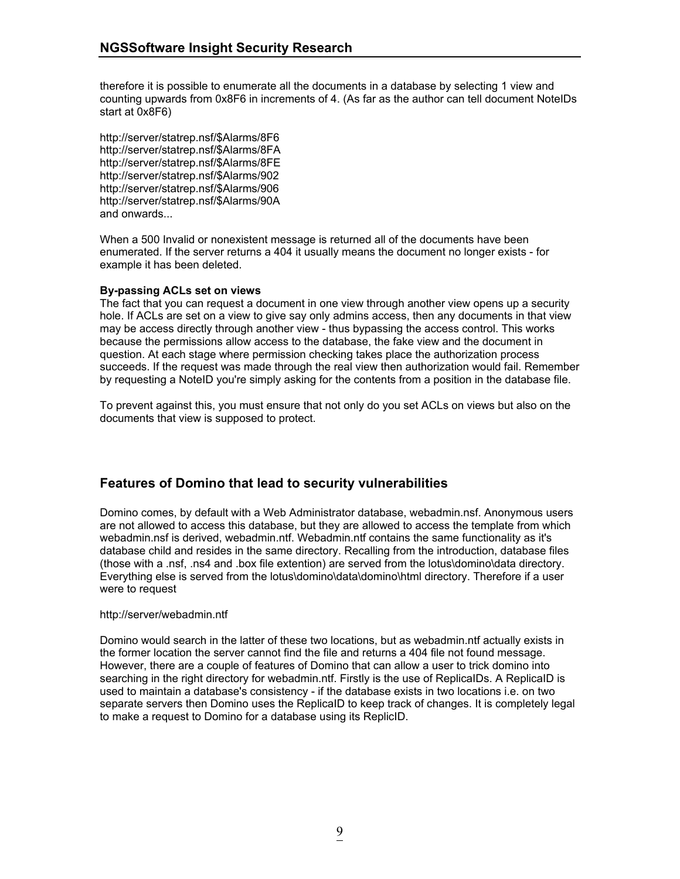therefore it is possible to enumerate all the documents in a database by selecting 1 view and counting upwards from 0x8F6 in increments of 4. (As far as the author can tell document NoteIDs start at 0x8F6)

http://server/statrep.nsf/\$Alarms/8F6 http://server/statrep.nsf/\$Alarms/8FA http://server/statrep.nsf/\$Alarms/8FE http://server/statrep.nsf/\$Alarms/902 http://server/statrep.nsf/\$Alarms/906 http://server/statrep.nsf/\$Alarms/90A and onwards...

When a 500 Invalid or nonexistent message is returned all of the documents have been enumerated. If the server returns a 404 it usually means the document no longer exists - for example it has been deleted.

#### **By-passing ACLs set on views**

The fact that you can request a document in one view through another view opens up a security hole. If ACLs are set on a view to give say only admins access, then any documents in that view may be access directly through another view - thus bypassing the access control. This works because the permissions allow access to the database, the fake view and the document in question. At each stage where permission checking takes place the authorization process succeeds. If the request was made through the real view then authorization would fail. Remember by requesting a NoteID you're simply asking for the contents from a position in the database file.

To prevent against this, you must ensure that not only do you set ACLs on views but also on the documents that view is supposed to protect.

## **Features of Domino that lead to security vulnerabilities**

Domino comes, by default with a Web Administrator database, webadmin.nsf. Anonymous users are not allowed to access this database, but they are allowed to access the template from which webadmin.nsf is derived, webadmin.ntf. Webadmin.ntf contains the same functionality as it's database child and resides in the same directory. Recalling from the introduction, database files (those with a .nsf, .ns4 and .box file extention) are served from the lotus\domino\data directory. Everything else is served from the lotus\domino\data\domino\html directory. Therefore if a user were to request

#### http://server/webadmin.ntf

Domino would search in the latter of these two locations, but as webadmin.ntf actually exists in the former location the server cannot find the file and returns a 404 file not found message. However, there are a couple of features of Domino that can allow a user to trick domino into searching in the right directory for webadmin.ntf. Firstly is the use of ReplicaIDs. A ReplicaID is used to maintain a database's consistency - if the database exists in two locations i.e. on two separate servers then Domino uses the ReplicaID to keep track of changes. It is completely legal to make a request to Domino for a database using its ReplicID.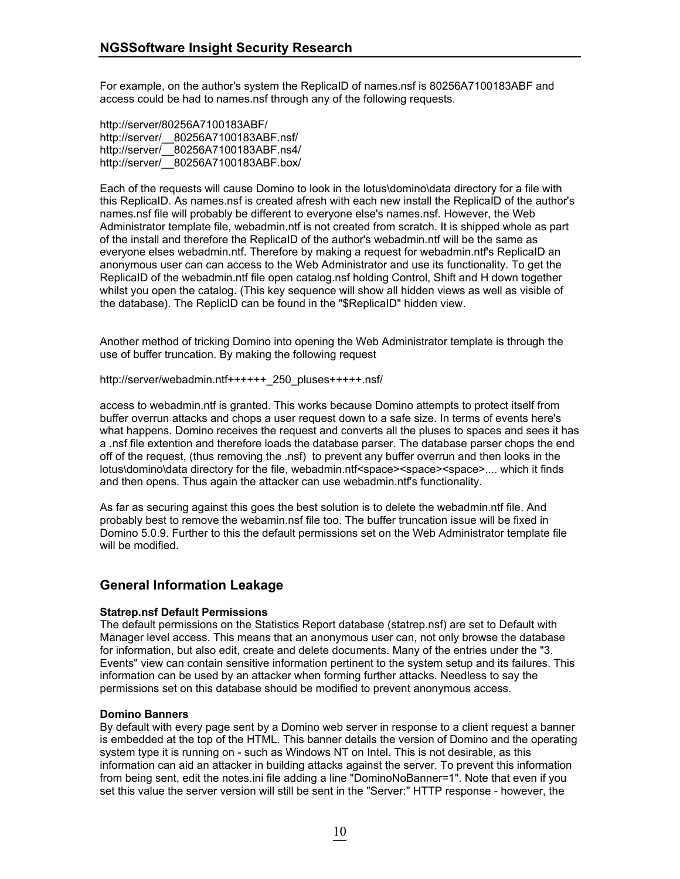For example, on the author's system the ReplicaID of names.nsf is 80256A7100183ABF and access could be had to names.nsf through any of the following requests.

http://server/80256A7100183ABF/ http://server/\_\_80256A7100183ABF.nsf/ http://server/ 80256A7100183ABF.ns4/ http://server/\_\_80256A7100183ABF.box/

Each of the requests will cause Domino to look in the lotus\domino\data directory for a file with this ReplicaID. As names.nsf is created afresh with each new install the ReplicaID of the author's names.nsf file will probably be different to everyone else's names.nsf. However, the Web Administrator template file, webadmin.ntf is not created from scratch. It is shipped whole as part of the install and therefore the ReplicaID of the author's webadmin.ntf will be the same as everyone elses webadmin.ntf. Therefore by making a request for webadmin.ntf's ReplicaID an anonymous user can can access to the Web Administrator and use its functionality. To get the ReplicaID of the webadmin.ntf file open catalog.nsf holding Control, Shift and H down together whilst you open the catalog. (This key sequence will show all hidden views as well as visible of the database). The ReplicID can be found in the "\$ReplicaID" hidden view.

Another method of tricking Domino into opening the Web Administrator template is through the use of buffer truncation. By making the following request

http://server/webadmin.ntf++++++\_250\_pluses+++++.nsf/

access to webadmin.ntf is granted. This works because Domino attempts to protect itself from buffer overrun attacks and chops a user request down to a safe size. In terms of events here's what happens. Domino receives the request and converts all the pluses to spaces and sees it has a .nsf file extention and therefore loads the database parser. The database parser chops the end off of the request, (thus removing the .nsf) to prevent any buffer overrun and then looks in the lotus\domino\data directory for the file, webadmin.ntf<space><space><space>.... which it finds and then opens. Thus again the attacker can use webadmin.ntf's functionality.

As far as securing against this goes the best solution is to delete the webadmin.ntf file. And probably best to remove the webamin.nsf file too. The buffer truncation issue will be fixed in Domino 5.0.9. Further to this the default permissions set on the Web Administrator template file will be modified.

## **General Information Leakage**

#### **Statrep.nsf Default Permissions**

The default permissions on the Statistics Report database (statrep.nsf) are set to Default with Manager level access. This means that an anonymous user can, not only browse the database for information, but also edit, create and delete documents. Many of the entries under the "3. Events" view can contain sensitive information pertinent to the system setup and its failures. This information can be used by an attacker when forming further attacks. Needless to say the permissions set on this database should be modified to prevent anonymous access.

#### **Domino Banners**

By default with every page sent by a Domino web server in response to a client request a banner is embedded at the top of the HTML. This banner details the version of Domino and the operating system type it is running on - such as Windows NT on Intel. This is not desirable, as this information can aid an attacker in building attacks against the server. To prevent this information from being sent, edit the notes.ini file adding a line "DominoNoBanner=1". Note that even if you set this value the server version will still be sent in the "Server:" HTTP response - however, the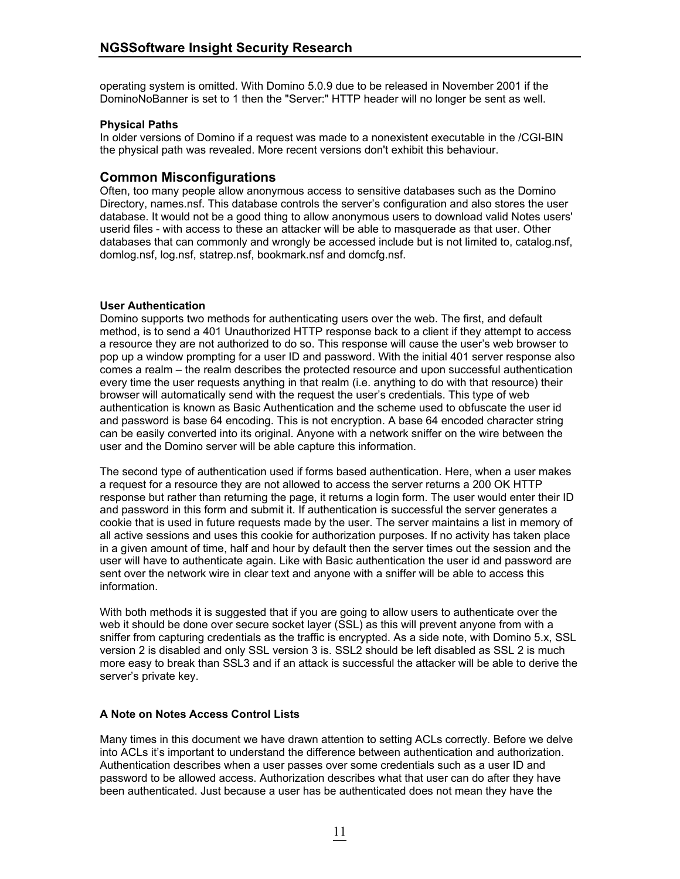operating system is omitted. With Domino 5.0.9 due to be released in November 2001 if the DominoNoBanner is set to 1 then the "Server:" HTTP header will no longer be sent as well.

#### **Physical Paths**

In older versions of Domino if a request was made to a nonexistent executable in the /CGI-BIN the physical path was revealed. More recent versions don't exhibit this behaviour.

### **Common Misconfigurations**

Often, too many people allow anonymous access to sensitive databases such as the Domino Directory, names.nsf. This database controls the server's configuration and also stores the user database. It would not be a good thing to allow anonymous users to download valid Notes users' userid files - with access to these an attacker will be able to masquerade as that user. Other databases that can commonly and wrongly be accessed include but is not limited to, catalog.nsf, domlog.nsf, log.nsf, statrep.nsf, bookmark.nsf and domcfg.nsf.

#### **User Authentication**

Domino supports two methods for authenticating users over the web. The first, and default method, is to send a 401 Unauthorized HTTP response back to a client if they attempt to access a resource they are not authorized to do so. This response will cause the user's web browser to pop up a window prompting for a user ID and password. With the initial 401 server response also comes a realm – the realm describes the protected resource and upon successful authentication every time the user requests anything in that realm (i.e. anything to do with that resource) their browser will automatically send with the request the user's credentials. This type of web authentication is known as Basic Authentication and the scheme used to obfuscate the user id and password is base 64 encoding. This is not encryption. A base 64 encoded character string can be easily converted into its original. Anyone with a network sniffer on the wire between the user and the Domino server will be able capture this information.

The second type of authentication used if forms based authentication. Here, when a user makes a request for a resource they are not allowed to access the server returns a 200 OK HTTP response but rather than returning the page, it returns a login form. The user would enter their ID and password in this form and submit it. If authentication is successful the server generates a cookie that is used in future requests made by the user. The server maintains a list in memory of all active sessions and uses this cookie for authorization purposes. If no activity has taken place in a given amount of time, half and hour by default then the server times out the session and the user will have to authenticate again. Like with Basic authentication the user id and password are sent over the network wire in clear text and anyone with a sniffer will be able to access this information.

With both methods it is suggested that if you are going to allow users to authenticate over the web it should be done over secure socket layer (SSL) as this will prevent anyone from with a sniffer from capturing credentials as the traffic is encrypted. As a side note, with Domino 5.x, SSL version 2 is disabled and only SSL version 3 is. SSL2 should be left disabled as SSL 2 is much more easy to break than SSL3 and if an attack is successful the attacker will be able to derive the server's private key.

#### **A Note on Notes Access Control Lists**

Many times in this document we have drawn attention to setting ACLs correctly. Before we delve into ACLs it's important to understand the difference between authentication and authorization. Authentication describes when a user passes over some credentials such as a user ID and password to be allowed access. Authorization describes what that user can do after they have been authenticated. Just because a user has be authenticated does not mean they have the